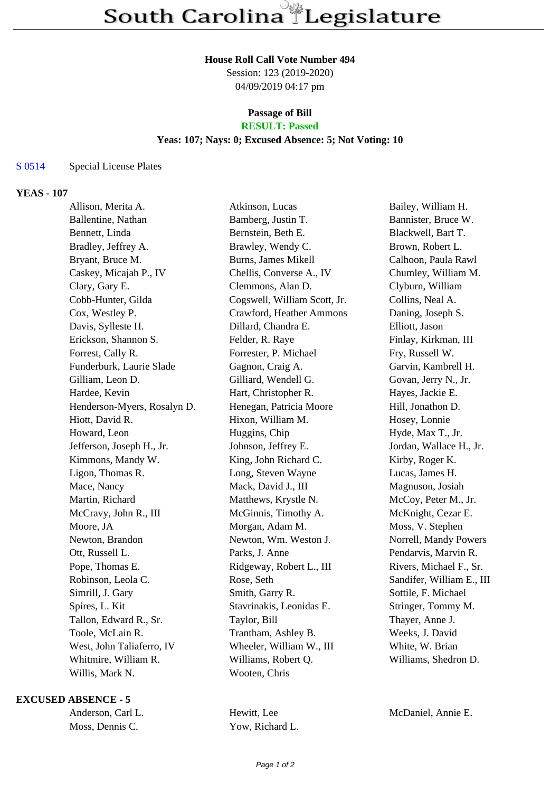#### **House Roll Call Vote Number 494**

Session: 123 (2019-2020) 04/09/2019 04:17 pm

### **Passage of Bill RESULT: Passed**

### **Yeas: 107; Nays: 0; Excused Absence: 5; Not Voting: 10**

# S 0514 Special License Plates

## **YEAS - 107**

| Allison, Merita A.          | Atkinson, Lucas              | Bailey, William H.        |
|-----------------------------|------------------------------|---------------------------|
| Ballentine, Nathan          | Bamberg, Justin T.           | Bannister, Bruce W.       |
| Bennett, Linda              | Bernstein, Beth E.           | Blackwell, Bart T.        |
| Bradley, Jeffrey A.         | Brawley, Wendy C.            | Brown, Robert L.          |
| Bryant, Bruce M.            | <b>Burns, James Mikell</b>   | Calhoon, Paula Rawl       |
| Caskey, Micajah P., IV      | Chellis, Converse A., IV     | Chumley, William M.       |
| Clary, Gary E.              | Clemmons, Alan D.            | Clyburn, William          |
| Cobb-Hunter, Gilda          | Cogswell, William Scott, Jr. | Collins, Neal A.          |
| Cox, Westley P.             | Crawford, Heather Ammons     | Daning, Joseph S.         |
| Davis, Sylleste H.          | Dillard, Chandra E.          | Elliott, Jason            |
| Erickson, Shannon S.        | Felder, R. Raye              | Finlay, Kirkman, III      |
| Forrest, Cally R.           | Forrester, P. Michael        | Fry, Russell W.           |
| Funderburk, Laurie Slade    | Gagnon, Craig A.             | Garvin, Kambrell H.       |
| Gilliam, Leon D.            | Gilliard, Wendell G.         | Govan, Jerry N., Jr.      |
| Hardee, Kevin               | Hart, Christopher R.         | Hayes, Jackie E.          |
| Henderson-Myers, Rosalyn D. | Henegan, Patricia Moore      | Hill, Jonathon D.         |
| Hiott, David R.             | Hixon, William M.            | Hosey, Lonnie             |
| Howard, Leon                | Huggins, Chip                | Hyde, Max T., Jr.         |
| Jefferson, Joseph H., Jr.   | Johnson, Jeffrey E.          | Jordan, Wallace H., Jr.   |
| Kimmons, Mandy W.           | King, John Richard C.        | Kirby, Roger K.           |
| Ligon, Thomas R.            | Long, Steven Wayne           | Lucas, James H.           |
| Mace, Nancy                 | Mack, David J., III          | Magnuson, Josiah          |
| Martin, Richard             | Matthews, Krystle N.         | McCoy, Peter M., Jr.      |
| McCravy, John R., III       | McGinnis, Timothy A.         | McKnight, Cezar E.        |
| Moore, JA                   | Morgan, Adam M.              | Moss, V. Stephen          |
| Newton, Brandon             | Newton, Wm. Weston J.        | Norrell, Mandy Powers     |
| Ott, Russell L.             | Parks, J. Anne               | Pendarvis, Marvin R.      |
| Pope, Thomas E.             | Ridgeway, Robert L., III     | Rivers, Michael F., Sr.   |
| Robinson, Leola C.          | Rose, Seth                   | Sandifer, William E., III |
| Simrill, J. Gary            | Smith, Garry R.              | Sottile, F. Michael       |
| Spires, L. Kit              | Stavrinakis, Leonidas E.     | Stringer, Tommy M.        |
| Tallon, Edward R., Sr.      | Taylor, Bill                 | Thayer, Anne J.           |
| Toole, McLain R.            | Trantham, Ashley B.          | Weeks, J. David           |
| West, John Taliaferro, IV   | Wheeler, William W., III     | White, W. Brian           |
| Whitmire, William R.        | Williams, Robert Q.          | Williams, Shedron D.      |
| Willis, Mark N.             | Wooten, Chris                |                           |
|                             |                              |                           |

### **EXCUSED ABSENCE - 5**

| Anderson, Carl L. |
|-------------------|
| Moss, Dennis C.   |

Hewitt, Lee McDaniel, Annie E. Yow, Richard L.